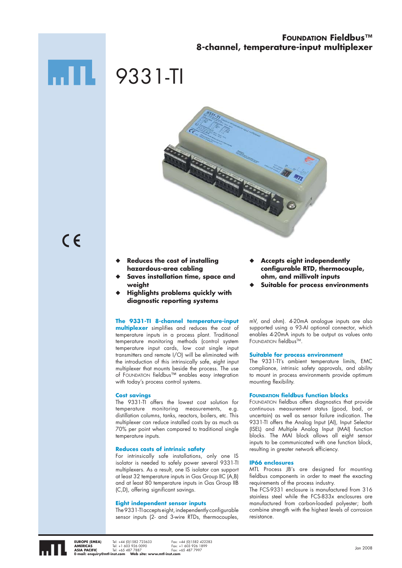### **FOUNDATION Fieldbus™ 8-channel, temperature-input multiplexer**

# 9331-TI



- $C \in$
- **Reduces the cost of installing hazardous-area cabling** ◆
- **Saves installation time, space and weight** ◆
- **Highlights problems quickly with diagnostic reporting systems** ◆

#### **The 9331-TI 8-channel temperature-input**

**multiplexer** simplifies and reduces the cost of temperature inputs in a process plant. Traditional temperature monitoring methods (control system temperature input cards, low cost single input transmitters and remote I/O) will be eliminated with the introduction of this intrinsically safe, eight input multiplexer that mounts beside the process. The use of FOUNDATION fieldbus™ enables easy integration with today's process control systems.

#### **Cost savings**

The 9331-TI offers the lowest cost solution for temperature monitoring measurements, e.g. distillation columns, tanks, reactors, boilers, etc. This multiplexer can reduce installed costs by as much as 70% per point when compared to traditional single temperature inputs.

#### **Reduces costs of intrinsic safety**

For intrinsically safe installations, only one IS isolator is needed to safely power several 9331-TI multiplexers. As a result, one IS isolator can support at least 32 temperature inputs in Gas Group IIC (A,B) and at least 80 temperature inputs in Gas Group IIB (C,D), offering significant savings.

#### **Eight independent sensor inputs**

The 9331-TI accepts eight, independently configurable sensor inputs (2- and 3-wire RTDs, thermocouples,

- **Accepts eight independently configurable RTD, thermocouple, ohm, and millivolt inputs** ◆
- **Suitable for process environments** ◆

mV, and ohm). 4-20mA analogue inputs are also supported using a 93-AI optional connector, which enables 4-20mA inputs to be output as values onto FOUNDATION fieldbusTM.

#### **Suitable for process environment**

The 9331-TI's ambient temperature limits, EMC compliance, intrinsic safety approvals, and ability to mount in process environments provide optimum mounting flexibility.

#### **FOUNDATION fieldbus function blocks**

FOUNDATION fieldbus offers diagnostics that provide continuous measurement status (good, bad, or uncertain) as well as sensor failure indication. The 9331-TI offers the Analog Input (AI), Input Selector (ISEL) and Multiple Analog Input (MAI) function blocks. The MAI block allows all eight sensor inputs to be communicated with one function block, resulting in greater network efficiency.

#### **IP66 enclosures**

MTL Process JB's are designed for mounting fieldbus components in order to meet the exacting requirements of the process industry.

The FCS-9331 enclosure is manufactured from 316 stainless steel while the FCS-833x enclosures are manufactured from carbon-loaded polyester; both combine strength with the highest levels of corrosion resistance.



**EUROPE (EMEA)** Tel: +44 (0)1582 723633 Fax: +44 (0)1582 422283<br>**AMERICAS** Tel: +1 603 926 0090 Fax: +1 603 926 1899 **AMERICAS** Tel: +1 603 926 0090 Fax: +1 603 926 1899<br>**ASIA PACIFIC** Tel: +65 487 7887 Fax: +65 487 7997 Tel: +1 603 926 0090<br>Tel: +65 487 7887<br>**Asi**ling som **Mahaita: E-mail: enquiry@mtl-inst.com Web site: www.mtl-inst.com**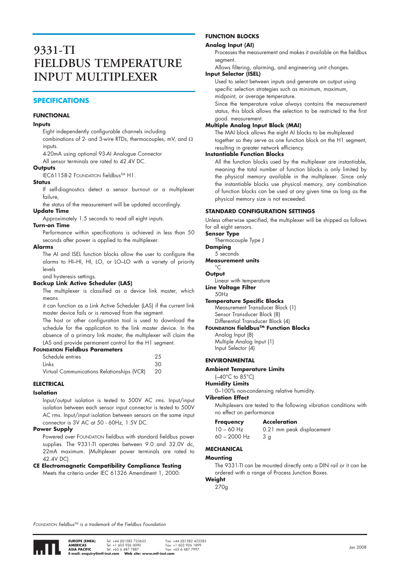### **9331-TI FIELDBUS TEMPERATURE INPUT MULTIPLEXER**

#### **SPECIFICATIONS**

#### **FUNCTIONAL**

#### **Inputs**

Eight independently configurable channels including combinations of 2- and 3-wire RTDs, thermocouples, mV, and Ω inputs.

4-20mA using optional 93-AI Analogue Connector

All sensor terminals are rated to 42.4V DC.

#### **Outputs**

IEC61158-2 FOUNDATION fieldbus™ H1.

#### **Status**

If self-diagnostics detect a sensor burnout or a multiplexer failure,

the status of the measurement will be updated accordingly. **Update Time**

Approximately 1.5 seconds to read all eight inputs.

#### **Turn-on Time**

Performance within specifications is achieved in less than 50 seconds after power is applied to the multiplexer.

#### **Alarms**

The AI and ISEL function blocks allow the user to configure the alarms to HI–HI, HI, LO, or LO–LO with a variety of priority levels

#### and hysteresis settings. **Backup Link Active Scheduler (LAS)**

The multiplexer is classified as a device link master, which

means it can function as a Link Active Scheduler (LAS) if the current link master device fails or is removed from the segment.

The host or other configuration tool is used to download the schedule for the application to the link master device. In the absence of a primary link master, the multiplexer will claim the LAS and provide permanent control for the H1 segment.

#### **FOUNDATION Fieldbus Parameters**

| Schedule entries                           | 25   |
|--------------------------------------------|------|
| Links                                      | 30   |
| Virtual Communications Relationships (VCR) | - 20 |

#### **ELECTRICAL**

#### **Isolation**

Input/output isolation is tested to 500V AC rms. Input/input isolation between each sensor input connector is tested to 500V AC rms. Input/input isolation between sensors on the same input connector is 3V AC at 50 - 60Hz, 1.5V DC.

#### **Power Supply**

Powered over FOUNDATION fieldbus with standard fieldbus power supplies. The 9331-TI operates between 9.0 and 32.0V dc, 22mA maximum. (Multiplexer power terminals are rated to 42.4V DC)

#### **CE Electromagnetic Compatibility Compliance Testing** Meets the criteria under IEC 61326 Amendment 1, 2000:

#### **FUNCTION BLOCKS**

#### **Analog Input (AI)**

Processes the measurement and makes it available on the fieldbus segment.

Allows filtering, alarming, and engineering unit changes.

#### **Input Selector (ISEL)**

Used to select between inputs and generate an output using specific selection strategies such as minimum, maximum,

midpoint, or average temperature.

Since the temperature value always contains the measurement status, this block allows the selection to be restricted to the first good. measurement.

#### **Multiple Analog Input Block (MAI)**

The MAI block allows the eight AI blocks to be multiplexed together so they serve as one function block on the H1 segment, resulting in greater network efficiency.

#### **Instantiable Function Blocks**

All the function blocks used by the multiplexer are instantiable, meaning the total number of function blocks is only limited by the physical memory available in the multiplexer. Since only the instantiable blocks use physical memory, any combination of function blocks can be used at any given time as long as the physical memory size is not exceeded.

#### **STANDARD CONFIGURATION SETTINGS**

Unless otherwise specified, the multiplexer will be shipped as follows for all eight sensors.

#### **Sensor Type**

Thermocouple Type J

#### **Damping** 5 seconds

**Measurement units**

#### $\circ$

**Output**

Linear with temperature

#### **Line Voltage Filter**  $50H<sub>z</sub>$

**Temperature Specific Blocks**

Measurement Transducer Block (1) Sensor Transducer Block (8)

Differential Transducer Block (4) **FOUNDATION fieldbusTM Function Blocks**

Analog Input (8)

Multiple Analog Input (1) Input Selector (4)

#### **ENVIRONMENTAL**

#### **Ambient Temperature Limits**

(–40°C to 85°C)

0–100% non-condensing relative humidity.

#### **Vibration Effect**

Multiplexers are tested to the following vibration conditions with no effect on performance

#### **Frequency Acceleration**

10 – 60 Hz 0.21 mm peak displacement  $60 - 2000$  Hz  $3$  g

#### **MECHANICAL**

#### **Mounting**

The 9331-TI can be mounted directly onto a DIN rail or it can be ordered with a range of Process Junction Boxes.

#### **Weight** 270g

*FOUNDATION fieldbusTM is a trademark of the Fieldbus Foundation*



**Humidity Limits**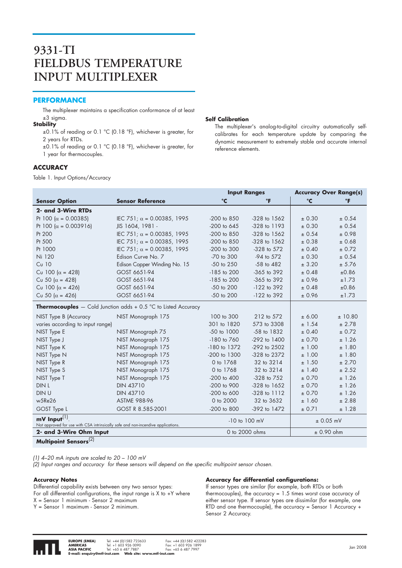### **9331-TI FIELDBUS TEMPERATURE INPUT MULTIPLEXER**

#### **PERFORMANCE**

The multiplexer maintains a specification conformance of at least ±3 sigma.

#### **Stability**

±0.1% of reading or 0.1 °C (0.18 °F), whichever is greater, for 2 years for RTDs.

±0.1% of reading or 0.1 °C (0.18 °F), whichever is greater, for 1 year for thermocouples.

#### **ACCURACY**

Table 1. Input Options/Accuracy

#### **Self Calibration**

The multiplexer's analog-to-digital circuitry automatically selfcalibrates for each temperature update by comparing the dynamic measurement to extremely stable and accurate internal reference elements.

|                                                                                                         |                                                                           |                 | <b>Input Ranges</b> | <b>Accuracy Over Range(s)</b> |         |
|---------------------------------------------------------------------------------------------------------|---------------------------------------------------------------------------|-----------------|---------------------|-------------------------------|---------|
| <b>Sensor Option</b>                                                                                    | <b>Sensor Reference</b>                                                   | $\mathbf{C}$    | $\mathbf{F}$        | °C                            | ℃F      |
| 2- and 3-Wire RTDs                                                                                      |                                                                           |                 |                     |                               |         |
| Pt 100 ( $\alpha$ = 0.00385)                                                                            | IEC 751; $\alpha$ = 0.00385, 1995                                         | $-200$ to $850$ | $-328$ to $1562$    | ± 0.30                        | ± 0.54  |
| Pt 100 ( $\alpha$ = 0.003916)                                                                           | JIS 1604, 1981 -                                                          | $-200$ to 645   | $-328$ to $1193$    | ± 0.30                        | ± 0.54  |
| Pt 200                                                                                                  | IEC 751; $\alpha$ = 0.00385, 1995                                         | -200 to 850     | $-328$ to $1562$    | ± 0.54                        | ± 0.98  |
| Pt 500                                                                                                  | IEC 751; $\alpha$ = 0.00385, 1995                                         | -200 to 850     | $-328$ to $1562$    | ± 0.38                        | ± 0.68  |
| Pt 1000                                                                                                 | IEC 751; $\alpha$ = 0.00385, 1995                                         | -200 to 300     | -328 to 572         | ± 0.40                        | ± 0.72  |
| Ni 120                                                                                                  | Edison Curve No. 7                                                        | -70 to 300      | -94 to 572          | ± 0.30                        | ± 0.54  |
| $Cu$ 10                                                                                                 | Edison Copper Winding No. 15                                              | $-50$ to $250$  | $-58$ to $482$      | ± 3.20                        | ± 5.76  |
| Cu 100 ( $\alpha$ = 428)                                                                                | GOST 6651-94                                                              | $-185$ to 200   | $-365$ to $392$     | ± 0.48                        | ±0.86   |
| Cu 50 ( $\alpha$ = 428)                                                                                 | GOST 6651-94                                                              | -185 to 200     | -365 to 392         | ± 0.96                        | ±1.73   |
| Cu 100 ( $\alpha$ = 426)                                                                                | GOST 6651-94                                                              | $-50$ to $200$  | $-122$ to 392       | ± 0.48                        | ±0.86   |
| Cu 50 ( $\alpha$ = 426)                                                                                 | GOST 6651-94                                                              | -50 to 200      | $-122$ to 392       | ± 0.96                        | ±1.73   |
|                                                                                                         | <b>Thermocouples</b> $-$ Cold Junction adds $+$ 0.5 °C to Listed Accuracy |                 |                     |                               |         |
| NIST Type B (Accuracy                                                                                   | NIST Monograph 175                                                        | 100 to 300      | 212 to 572          | ± 6.00                        | ± 10.80 |
| varies according to input range)                                                                        |                                                                           | 301 to 1820     | 573 to 3308         | ± 1.54                        | ± 2.78  |
| NIST Type E                                                                                             | NIST Monograph 75                                                         | -50 to 1000     | -58 to 1832         | ± 0.40                        | ± 0.72  |
| NIST Type J                                                                                             | NIST Monograph 175                                                        | $-180$ to $760$ | $-292$ to $1400$    | ± 0.70                        | ± 1.26  |
| NIST Type K                                                                                             | NIST Monograph 175                                                        | -180 to 1372    | -292 to 2502        | ± 1.00                        | ± 1.80  |
| NIST Type N                                                                                             | NIST Monograph 175                                                        | -200 to 1300    | -328 to 2372        | ± 1.00                        | ±1.80   |
| NIST Type R                                                                                             | NIST Monograph 175                                                        | 0 to 1768       | 32 to 3214          | ± 1.50                        | ± 2.70  |
| NIST Type S                                                                                             | NIST Monograph 175                                                        | 0 to 1768       | 32 to 3214          | ± 1.40                        | ± 2.52  |
| NIST Type T                                                                                             | NIST Monograph 175                                                        | $-200$ to $400$ | -328 to 752         | ± 0.70                        | ± 1.26  |
| DIN L                                                                                                   | <b>DIN 43710</b>                                                          | -200 to 900     | $-328$ to $1652$    | ± 0.70                        | ± 1.26  |
| DIN U                                                                                                   | <b>DIN 43710</b>                                                          | $-200$ to 600   | -328 to 1112        | ± 0.70                        | ± 1.26  |
| w5Re26                                                                                                  | <b>ASTME 988-96</b>                                                       | 0 to 2000       | 32 to 3632          | ± 1.60                        | ± 2.88  |
| GOST Type L                                                                                             | GOST R 8.585-2001                                                         | -200 to 800     | $-392$ to $1472$    | ± 0.71                        | ± 1.28  |
| $mV$ Input $^{(1)}$<br>Not approved for use with CSA intrinsically safe and non-incendive applications. |                                                                           |                 | $-10$ to $100$ mV   | $± 0.05$ mV                   |         |
| 2- and 3-Wire Ohm Input                                                                                 |                                                                           |                 | 0 to 2000 ohms      | ± 0.90 ohm                    |         |
| Multipoint Sensors <sup>(2)</sup>                                                                       |                                                                           |                 |                     |                               |         |

*(1) 4–20 mA inputs are scaled to 20 – 100 mV*

*(2) Input ranges and accuracy for these sensors will depend on the specific multipoint sensor chosen.* 

#### **Accuracy Notes**

Differential capability exists between any two sensor types: For all differential configurations, the input range is  $X$  to  $+Y$  where X = Sensor 1 minimum - Sensor 2 maximum

Y = Sensor 1 maximum - Sensor 2 minimum.

#### **Accuracy for differential configurations:**

If sensor types are similar (for example, both RTDs or both thermocouples), the accuracy = 1.5 times worst case accuracy of either sensor type. If sensor types are dissimilar (for example, one RTD and one thermocouple), the accuracy = Sensor 1 Accuracy + Sensor 2 Accuracy.

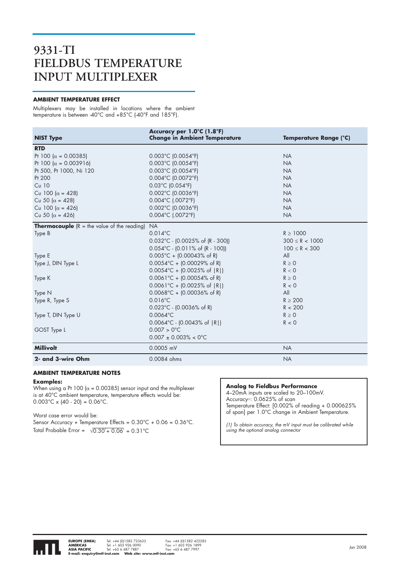### **9331-TI FIELDBUS TEMPERATURE INPUT MULTIPLEXER**

#### **AMBIENT TEMPERATURE EFFECT**

Multiplexers may be installed in locations where the ambient temperature is between -40°C and +85°C (-40°F and 185°F).

| <b>NIST Type</b>                                     | Accuracy per 1.0°C (1.8°F)<br><b>Change in Ambient Temperature</b> | Temperature Range (°C) |
|------------------------------------------------------|--------------------------------------------------------------------|------------------------|
| <b>RTD</b>                                           |                                                                    |                        |
| Pt 100 ( $\alpha$ = 0.00385)                         | $0.003^{\circ}$ C (0.0054 $^{\circ}$ F)                            | <b>NA</b>              |
| Pt 100 ( $\alpha$ = 0.003916)                        | $0.003^{\circ}$ C (0.0054 $^{\circ}$ F)                            | <b>NA</b>              |
| Pt 500, Pt 1000, Ni 120                              | 0.003°C (0.0054°F)                                                 | <b>NA</b>              |
| Pt 200                                               | 0.004°C (0.0072°F)                                                 | <b>NA</b>              |
| $Cu$ 10                                              | 0.03°C (0.054°F)                                                   | <b>NA</b>              |
| Cu 100 ( $\alpha = 428$ )                            | 0.002°C (0.0036°F)                                                 | <b>NA</b>              |
| Cu 50 ( $\alpha$ = 428)                              | 0.004°C (.0072°F)                                                  | <b>NA</b>              |
| Cu 100 ( $\alpha$ = 426)                             | 0.002°C (0.0036°F)                                                 | <b>NA</b>              |
| Cu 50 ( $\alpha$ = 426)                              | 0.004°C (.0072°F)                                                  | <b>NA</b>              |
| <b>Thermocouple</b> $(R = the value of the reading)$ | <b>NA</b>                                                          |                        |
| Type B                                               | $0.014^{\circ}$ C                                                  | $R \ge 1000$           |
|                                                      | $0.032^{\circ}$ C - (0.0025% of (R - 300))                         | $300 \leq R < 1000$    |
|                                                      | $0.054^{\circ}$ C - $(0.011\% \text{ of } (R - 100))$              | $100 \le R < 300$      |
| Type E                                               | $0.005^{\circ}$ C + (0.00043% of R)                                | All                    |
| Type J, DIN Type L                                   | $0.0054^{\circ}$ C + (0.00029% of R)                               | $R \geq 0$             |
|                                                      | $0.0054^{\circ}C + [0.0025\% \text{ of }  R ]$                     | R < 0                  |
| Type K                                               | $0.0061^{\circ}C + (0.00054\% \text{ of R})$                       | $R \geq 0$             |
|                                                      | $0.0061^{\circ}C + (0.0025\% \text{ of }  R )$                     | R < 0                  |
| Type N                                               | $0.0068^{\circ}C + [0.00036\% \text{ of R}]$                       | All                    |
| Type R, Type S                                       | $0.016^{\circ}$ C                                                  | $R \geq 200$           |
|                                                      | $0.023^{\circ}$ C - (0.0036% of R)                                 | R < 200                |
| Type T, DIN Type U                                   | $0.0064$ °C                                                        | $R \geq 0$             |
|                                                      | $0.0064^{\circ}$ C - (0.0043% of $ R $ )                           | R < 0                  |
| GOST Type L                                          | $0.007 > 0$ °C                                                     |                        |
|                                                      | $0.007 \pm 0.003\% < 0^{\circ}$ C                                  |                        |
| <b>Millivolt</b>                                     | 0.0005 mV                                                          | <b>NA</b>              |
| 2- and 3-wire Ohm                                    | 0.0084 ohms                                                        | <b>NA</b>              |

#### **AMBIENT TEMPERATURE NOTES**

#### **Examples:**

When using a Pt 100 ( $\alpha$  = 0.00385) sensor input and the multiplexer is at 40°C ambient temperature, temperature effects would be: 0.003°C x (40 - 20) = 0.06°C.

Worst case error would be:

Sensor Accuracy + Temperature Effects = 0.30°C + 0.06 = 0.36°C. Total Probable Error =  $\sqrt{0.30^2 + 0.06^2} = 0.31^{\circ}$ C

#### **Analog to Fieldbus Performance**

4–20mA inputs are scaled to 20–100mV. Accuracy(1): 0.0625% of scan Temperature Effect: [0.002% of reading + 0.000625% of span] per 1.0°C change in Ambient Temperature.

*(1) To obtain accuracy, the mV input must be calibrated while using the optional analog connector*

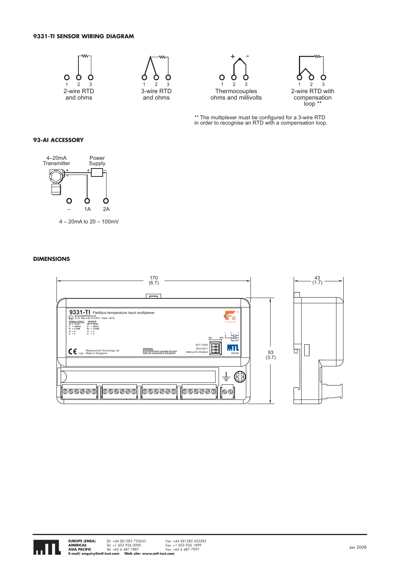#### **9331-TI SENSOR WIRING DIAGRAM**









\*\* The multiplexer must be configured for a 3-wire RTD in order to recognise an RTD with a compensation loop.

#### **93-AI ACCESSORY**



4 – 20mA to 20 – 100mV

#### **DIMENSIONS**



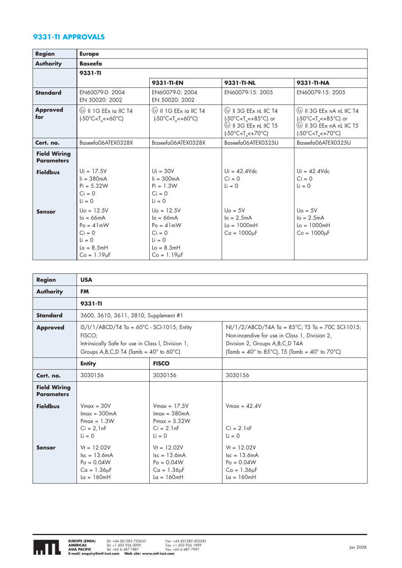#### **9331-TI APPROVALS**

| <b>Region</b>                            | <b>Europe</b>                                                                                                               |                                                                                                              |                                                                                                                                                                                                                             |                                                                                                                                                                                                                   |
|------------------------------------------|-----------------------------------------------------------------------------------------------------------------------------|--------------------------------------------------------------------------------------------------------------|-----------------------------------------------------------------------------------------------------------------------------------------------------------------------------------------------------------------------------|-------------------------------------------------------------------------------------------------------------------------------------------------------------------------------------------------------------------|
| <b>Authority</b>                         | <b>Baseefa</b>                                                                                                              |                                                                                                              |                                                                                                                                                                                                                             |                                                                                                                                                                                                                   |
|                                          | 9331-TI                                                                                                                     |                                                                                                              |                                                                                                                                                                                                                             |                                                                                                                                                                                                                   |
|                                          |                                                                                                                             | 9331-TI-EN                                                                                                   | 9331-TI-NL                                                                                                                                                                                                                  | 9331-TI-NA                                                                                                                                                                                                        |
| <b>Standard</b>                          | EN60079-0: 2004<br>EN 50020: 2002                                                                                           | EN60079-0: 2004<br>EN 50020: 2002                                                                            | EN60079-15: 2005                                                                                                                                                                                                            | EN60079-15: 2005                                                                                                                                                                                                  |
| <b>Approved</b><br>for                   | <b>EX II 1G EEx ia IIC T4</b><br>$[-50^{\circ}$ C <t<sub>o&lt;+60°C)</t<sub>                                                | $\langle x \rangle$    1G EEx ia   C T4<br>$(-50^{\circ}$ C <t<sub>a &lt; +60<math>^{\circ}</math>C)</t<sub> | $\langle x \rangle$    3G EEx nL   C T4<br>$(-50^{\circ}$ C <t<sub>a&lt;+85<math>^{\circ}</math>C) or<br/><b>E</b> II 3G EEx nL IIC T5<br/><math>[-50^{\circ}</math>C<t<sub>a&lt;+70<math>^{\circ}</math>C)</t<sub></t<sub> | $\langle x \rangle$    3G EEx nA nL IIC T4<br>$(-50^{\circ}$ C <t<sub>a&lt;+85<math>^{\circ}</math>C) or<br/><b>&amp; II 3G EEx nA nL IIC T5</b><br/><math>[-50^{\circ}</math>C<t<sub>o&lt;+70°C)</t<sub></t<sub> |
| Cert. no.                                | Baseefa06ATEX0328X                                                                                                          | Baseefa06ATEX0328X                                                                                           | Baseefa06ATEX0325U                                                                                                                                                                                                          | Baseefa06ATEX0325U                                                                                                                                                                                                |
| <b>Field Wiring</b><br><b>Parameters</b> |                                                                                                                             |                                                                                                              |                                                                                                                                                                                                                             |                                                                                                                                                                                                                   |
| <b>Fieldbus</b>                          | $Ui = 17.5V$<br>$li = 380mA$<br>$Pi = 5.32W$<br>$Ci = 0$<br>$1i = 0$                                                        | $Ui = 30V$<br>$\mathsf{li} = 300 \mathsf{mA}$<br>$Pi = 1.3W$<br>$Ci = 0$<br>$Li = 0$                         | $Ui = 42.4Vdc$<br>$Ci = 0$<br>$Li = 0$                                                                                                                                                                                      | $Ui = 42.4 Vdc$<br>$Ci = 0$<br>$\mathbf{1} \mathbf{i} = 0$                                                                                                                                                        |
| <b>Sensor</b>                            | $U_0 = 12.5V$<br>$Io = 66mA$<br>$Po = 41mW$<br>$Ci = 0$<br>$\mathbf{1} \mathbf{i} = 0$<br>$Lo = 8.5mH$<br>$Co = 1.19 \mu F$ | $U_0 = 12.5V$<br>$I_0 = 66mA$<br>$Po = 41mW$<br>$Ci = 0$<br>$Li = 0$<br>$Lo = 8.5mH$<br>$Co = 1.19 \mu F$    | $Uo = 5V$<br>$lo = 2.5mA$<br>$Lo = 1000mH$<br>$Co = 1000 \mu F$                                                                                                                                                             | $U_0 = 5V$<br>$lo = 2.5mA$<br>$Lo = 1000mH$<br>$Co = 1000 \mu F$                                                                                                                                                  |

| <b>Region</b>                            | <b>USA</b>                                                                                                                                                                                                                                                                                                                                                                         |                                                                                                    |                                                                                                    |  |  |
|------------------------------------------|------------------------------------------------------------------------------------------------------------------------------------------------------------------------------------------------------------------------------------------------------------------------------------------------------------------------------------------------------------------------------------|----------------------------------------------------------------------------------------------------|----------------------------------------------------------------------------------------------------|--|--|
| <b>Authority</b>                         | <b>FM</b>                                                                                                                                                                                                                                                                                                                                                                          |                                                                                                    |                                                                                                    |  |  |
|                                          | 9331-TI                                                                                                                                                                                                                                                                                                                                                                            |                                                                                                    |                                                                                                    |  |  |
| <b>Standard</b>                          | 3600, 3610, 3611, 3810, Supplement #1                                                                                                                                                                                                                                                                                                                                              |                                                                                                    |                                                                                                    |  |  |
| <b>Approved</b>                          | $IS/I/1/ABCD/T4$ Ta = 60°C - SCI-1015; Entity<br>$NI/1/2/ABCD/T4A$ Ta = 85°C; T5 Ta = 70C SCI-1015;<br>FISCO;<br>Non-incendive for use in Class 1, Division 2,<br>Intrinsically Safe for use in Class I, Division 1,<br>Division 2, Groups A, B, C, D T4A<br>Groups A, B, C, D T4 (Tamb = $40^{\circ}$ to 60°C)<br>(Tamb = $40^{\circ}$ to 85°C), T5 (Tamb = $40^{\circ}$ to 70°C) |                                                                                                    |                                                                                                    |  |  |
|                                          | <b>Entity</b>                                                                                                                                                                                                                                                                                                                                                                      | <b>FISCO</b>                                                                                       |                                                                                                    |  |  |
| Cert. no.                                | 3030156                                                                                                                                                                                                                                                                                                                                                                            | 3030156                                                                                            | 3030156                                                                                            |  |  |
| <b>Field Wiring</b><br><b>Parameters</b> |                                                                                                                                                                                                                                                                                                                                                                                    |                                                                                                    |                                                                                                    |  |  |
| <b>Fieldbus</b>                          | $V$ max = 30V<br>$Imax = 300mA$<br>$Pmax = 1.3W$<br>$Ci = 2,1nF$<br>$Li = 0$                                                                                                                                                                                                                                                                                                       | $V$ max = 17.5V<br>$Im\alpha = 380mA$<br>$Pmax = 5.32W$<br>$Ci = 2.1nF$<br>$Li = 0$                | $V$ max = 42.4V<br>$Ci = 2.1nF$<br>$Li = 0$                                                        |  |  |
| <b>Sensor</b>                            | $Vt = 12.02V$<br>$\text{lsc} = 13.6 \text{mA}$<br>$Po = 0.04W$<br>$Ca = 1.36\mu F$<br>$La = 160mH$                                                                                                                                                                                                                                                                                 | $Vt = 12.02V$<br>$\text{lsc} = 13.6 \text{mA}$<br>$Po = 0.04W$<br>$Ca = 1.36\mu F$<br>$La = 160mH$ | $Vt = 12.02V$<br>$\text{lsc} = 13.6 \text{mA}$<br>$Po = 0.04W$<br>$Ca = 1.36\mu F$<br>$La = 160mH$ |  |  |

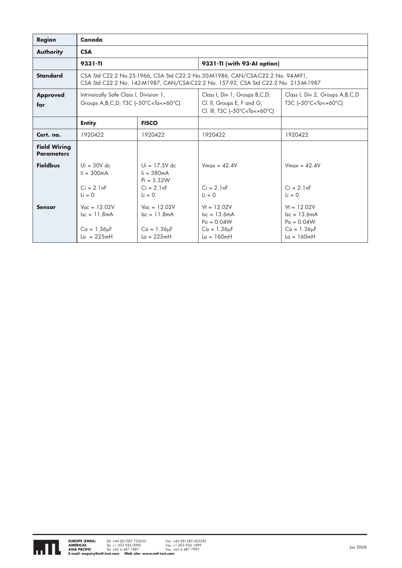| <b>Region</b>                            | Canada                                                                                                      |                                                                                     |                                                                                                                                                                                                            |                                                                                                    |
|------------------------------------------|-------------------------------------------------------------------------------------------------------------|-------------------------------------------------------------------------------------|------------------------------------------------------------------------------------------------------------------------------------------------------------------------------------------------------------|----------------------------------------------------------------------------------------------------|
| <b>Authority</b>                         | <b>CSA</b>                                                                                                  |                                                                                     |                                                                                                                                                                                                            |                                                                                                    |
|                                          | 9331-TI                                                                                                     |                                                                                     | 9331-TI (with 93-Al option)                                                                                                                                                                                |                                                                                                    |
| <b>Standard</b>                          |                                                                                                             |                                                                                     | CSA Std C22.2 No.25-1966, CSA Std C22.2 No.30-M1986, CAN/CSA-C22.2 No. 94-M91,<br>CSA Std C22.2 No. 142-M1987, CAN/CSA-C22.2 No. 157-92, CSA Std C22.2 No. 213-M-1987                                      |                                                                                                    |
| <b>Approved</b><br>for                   | Intrinsically Safe Class I, Division 1,<br>Groups A, B, C, D; T3C $[-50^{\circ}$ C < Ta < +60 $^{\circ}$ C) |                                                                                     | Class I, Div 1, Groups B,C,D;<br>Cl. II, Groups E, F and G;<br>Cl. III; T3C (-50°C <ta<+60°c)< th=""><th>Class I, Div 2, Groups A, B, C, D<br/>T3C (-50°C<ta<+60°c)< th=""></ta<+60°c)<></th></ta<+60°c)<> | Class I, Div 2, Groups A, B, C, D<br>T3C (-50°C <ta<+60°c)< th=""></ta<+60°c)<>                    |
|                                          | <b>Entity</b>                                                                                               | <b>FISCO</b>                                                                        |                                                                                                                                                                                                            |                                                                                                    |
| Cert. no.                                | 1920422                                                                                                     | 1920422                                                                             | 1920422                                                                                                                                                                                                    | 1920422                                                                                            |
| <b>Field Wiring</b><br><b>Parameters</b> |                                                                                                             |                                                                                     |                                                                                                                                                                                                            |                                                                                                    |
| <b>Fieldbus</b>                          | $U_i = 30V$ dc<br>$\mathsf{li} = 300 \mathsf{mA}$<br>$Ci = 2.1nF$<br>$Li = 0$                               | $U_i = 17.5V$ dc<br>$i = 380mA$<br>$Pi = 5.32W$<br>$Ci = 2.1nF$<br>$i = 0$          | $V$ max = 42.4V<br>$Ci = 2.1nF$<br>$Li = 0$                                                                                                                                                                | $V_{max}$ = 42.4V<br>$Ci = 2.1nF$<br>$\mathbf{i} = \mathbf{0}$                                     |
| <b>Sensor</b>                            | $V_{OC} = 12.02V$<br>$\text{lsc} = 11.8 \text{mA}$<br>$Ca = 1.36\mu F$<br>$La = 225mH$                      | $V_{OC} = 12.02V$<br>$\text{lsc} = 11.8 \text{mA}$<br>$Ca = 1.36uF$<br>$La = 225mH$ | $Vt = 12.02V$<br>$\text{lsc} = 13.6 \text{mA}$<br>$Po = 0.04W$<br>$Ca = 1.36\mu F$<br>$La = 160mH$                                                                                                         | $Vt = 12.02V$<br>$\text{lsc} = 13.6 \text{mA}$<br>$Po = 0.04W$<br>$Ca = 1.36\mu F$<br>$La = 160mH$ |

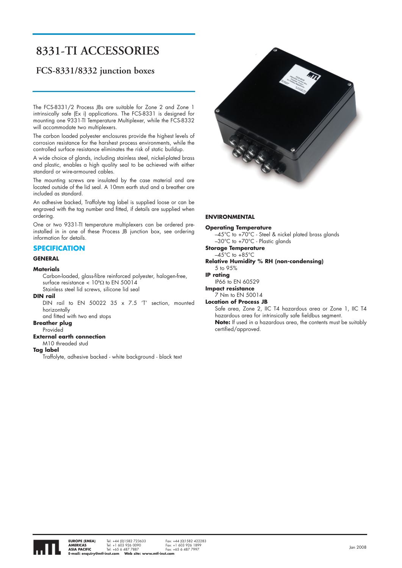## **8331-TI ACCESSORIES**

### **FCS-8331/8332 junction boxes**

The FCS-8331/2 Process JBs are suitable for Zone 2 and Zone 1 intrinsically safe (Ex i) applications. The FCS-8331 is designed for mounting one 9331-TI Temperature Multiplexer, while the FCS-8332 will accommodate two multiplexers.

The carbon loaded polyester enclosures provide the highest levels of corrosion resistance for the harshest process environments, while the controlled surface resistance eliminates the risk of static buildup.

A wide choice of glands, including stainless steel, nickel-plated brass and plastic, enables a high quality seal to be achieved with either standard or wire-armoured cables.

The mounting screws are insulated by the case material and are located outside of the lid seal. A 10mm earth stud and a breather are included as standard.

An adhesive backed, Traffolyte tag label is supplied loose or can be engraved with the tag number and fitted, if details are supplied when ordering.

One or two 9331-TI temperature multiplexers can be ordered preinstalled in in one of these Process JB junction box, see ordering information for details.

#### **SPECIFICATION**

#### **GENERAL**

#### **Materials**

Carbon-loaded, glass-fibre reinforced polyester, halogen-free, surface resistance  $< 10^9\Omega$  to EN 50014 Stainless steel lid screws, silicone lid seal

#### **DIN rail**

DIN rail to EN 50022 35 x 7.5 'T' section, mounted horizontally

and fitted with two end stops

#### **Breather plug** Provided

#### **External earth connection**

M10 threaded stud

**Tag label**

Traffolyte, adhesive backed - white background - black text



#### **ENVIRONMENTAL**

#### **Operating Temperature**

 $-45^{\circ}$ C to +70 $^{\circ}$ C - Steel & nickel plated brass glands –30°C to +70°C - Plastic glands

**Storage Temperature**

#### $-45^{\circ}$ C to  $+85^{\circ}$ C

**Relative Humidity % RH (non-condensing)**

#### 5 to 95%

**IP rating** 

IP66 to EN 60529 **Impact resistance**

#### 7 Nm to EN 50014

**Location of Process JB**

Safe area, Zone 2, IIC T4 hazardous area or Zone 1, IIC T4 hazardous area for intrinsically safe fieldbus segment. **Note:** If used in a hazardous area, the contents must be suitably certified/approved.

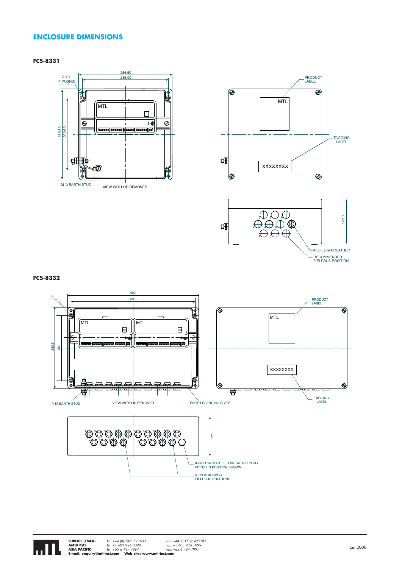#### **ENCLOSURE DIMENSIONS**

#### **FCS-8331**



RECOMMENDED<br>FIELDBUS POSITION

#### **FCS-8332**



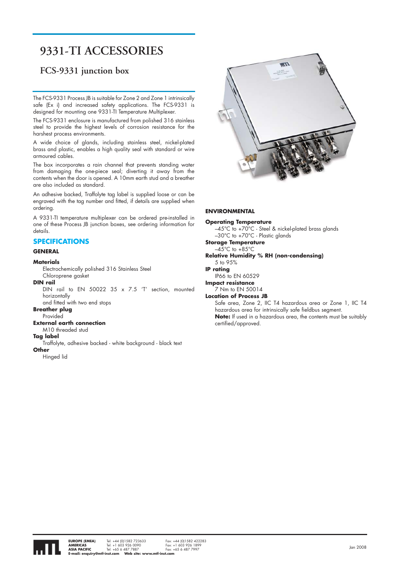## **9331-TI ACCESSORIES**

### **FCS-9331 junction box**

The FCS-9331 Process JB is suitable for Zone 2 and Zone 1 intrinsically safe (Ex i) and increased safety applications. The FCS-9331 is designed for mounting one 9331-TI Temperature Multiplexer.

The FCS-9331 enclosure is manufactured from polished 316 stainless steel to provide the highest levels of corrosion resistance for the harshest process environments.

A wide choice of glands, including stainless steel, nickel-plated brass and plastic, enables a high quality seal with standard or wire armoured cables.

The box incorporates a rain channel that prevents standing water from damaging the one-piece seal; diverting it away from the contents when the door is opened. A 10mm earth stud and a breather are also included as standard.

An adhesive backed, Traffolyte tag label is supplied loose or can be engraved with the tag number and fitted, if details are supplied when ordering.

A 9331-TI temperature multiplexer can be ordered pre-installed in one of these Process JB junction boxes, see ordering information for details.

#### **SPECIFICATIONS**

#### **GENERAL**

#### **Materials**

Electrochemically polished 316 Stainless Steel Chloroprene gasket

**DIN rail**

DIN rail to EN 50022 35  $\times$  7.5 'T' section, mounted horizontally and fitted with two end stops

#### **Breather plug**

**Provided** 

#### **External earth connection**

M10 threaded stud

#### **Tag label**

Traffolyte, adhesive backed - white background - black text **Other**

Hinged lid



#### **ENVIRONMENTAL**

#### **Operating Temperature**  –45°C to +70°C - Steel & nickel-plated brass glands –30°C to +70°C - Plastic glands **Storage Temperature**  $-45^{\circ}$ C to  $+85^{\circ}$ C **Relative Humidity % RH (non-condensing)** 5 to 95% **IP rating**  IP66 to EN 60529 **Impact resistance** 7 Nm to EN 50014 **Location of Process JB** Safe area, Zone 2, IIC T4 hazardous area or Zone 1, IIC T4 hazardous area for intrinsically safe fieldbus segment. **Note:** If used in a hazardous area, the contents must be suitably certified/approved.

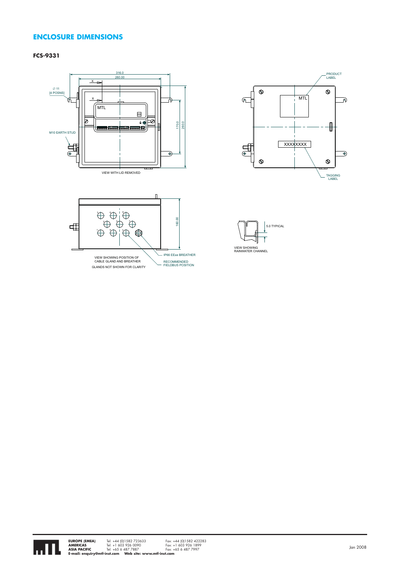#### **ENCLOSURE DIMENSIONS**

#### **FCS-9331**









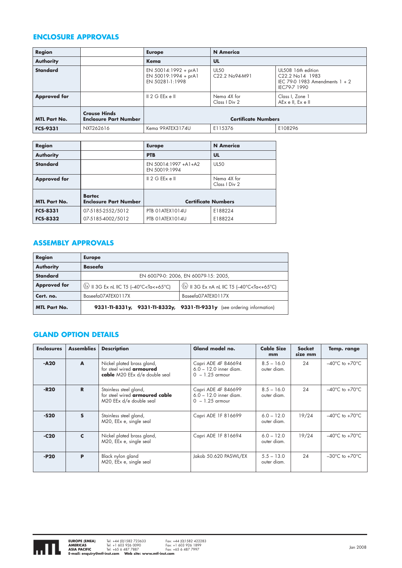#### **ENCLOSURE APPROVALS**

| <b>Region</b>       |                                                     | <b>Europe</b>                                                   | <b>N</b> America                                       |                                                                                           |
|---------------------|-----------------------------------------------------|-----------------------------------------------------------------|--------------------------------------------------------|-------------------------------------------------------------------------------------------|
| <b>Authority</b>    |                                                     | Kema                                                            | UL                                                     |                                                                                           |
| <b>Standard</b>     |                                                     | EN 50014:1992 + prA1<br>EN 50019:1994 + prA1<br>EN 50281-1:1998 | <b>UL50</b><br>C <sub>22.2</sub> N <sub>o</sub> 94-M91 | UL508 16th edition<br>C22.2 No14 1983<br>IEC 79-0 1983 Amendments $1 + 2$<br>IEC79-7 1990 |
| <b>Approved for</b> |                                                     | $\parallel$ 2 G EEx e $\parallel$                               | Nema 4X for<br>Class   Div 2                           | Class I, Zone 1<br>AEx ell, Ex ell                                                        |
| <b>MTL Part No.</b> | <b>Crouse Hinds</b><br><b>Enclosure Part Number</b> |                                                                 | <b>Certificate Numbers</b>                             |                                                                                           |
| <b>FCS-9331</b>     | NXT262616                                           | Kema 99ATEX3174U                                                | E115376                                                | E108296                                                                                   |

| Region              |                                               | <b>Europe</b>                         | <b>N</b> America             |
|---------------------|-----------------------------------------------|---------------------------------------|------------------------------|
| <b>Authority</b>    |                                               | <b>PTB</b>                            | UL                           |
| <b>Standard</b>     |                                               | EN 50014:1997 +A1+A2<br>EN 50019:1994 | <b>UL50</b>                  |
| <b>Approved for</b> |                                               | 2 G EEx e                             | Nema 4X for<br>Class I Div 2 |
| <b>MTL Part No.</b> | <b>Bartec</b><br><b>Enclosure Part Number</b> | <b>Certificate Numbers</b>            |                              |
| <b>FCS-8331</b>     | 07-5185-2552/5012                             | PTB 01ATEX1014U                       | E188224                      |
| <b>FCS-8332</b>     | 07-5185-4002/5012                             | PTB 01ATEX1014U                       | E188224                      |

### **ASSEMBLY APPROVALS**

| Region              | <b>Europe</b>                                                                                                                                                                    |                                                                                  |
|---------------------|----------------------------------------------------------------------------------------------------------------------------------------------------------------------------------|----------------------------------------------------------------------------------|
| <b>Authority</b>    | <b>Baseefa</b>                                                                                                                                                                   |                                                                                  |
| <b>Standard</b>     |                                                                                                                                                                                  | EN 60079-0: 2006, EN 60079-15: 2005,                                             |
| <b>Approved for</b> | $\langle x \rangle$    3G Ex nL IIC T5 (-40°C <ta<+65°c)< th=""><th><math>\langle x \rangle</math> II 3G Ex nA nL IIC T5 (-40°C<ta<+65°c)< th=""></ta<+65°c)<></th></ta<+65°c)<> | $\langle x \rangle$ II 3G Ex nA nL IIC T5 (-40°C <ta<+65°c)< th=""></ta<+65°c)<> |
| Cert. no.           | Baseefa07ATEX0117X                                                                                                                                                               | Baseefa07ATEX0117X                                                               |
| <b>MTL Part No.</b> |                                                                                                                                                                                  | 9331-TI-8331y, 9331-TI-8332y, 9331-TI-9331y (see ordering information)           |

#### **GLAND OPTION DETAILS**

| <b>Enclosures</b> | <b>Assemblies</b> | <b>Description</b>                                                                             | Gland model no.                                                      | <b>Cable Size</b><br>mm     | <b>Socket</b><br>size mm | Temp. range                        |
|-------------------|-------------------|------------------------------------------------------------------------------------------------|----------------------------------------------------------------------|-----------------------------|--------------------------|------------------------------------|
| $-A20$            | A                 | Nickel plated brass gland,<br>for steel wired <b>armoured</b><br>cable M20 EEx d/e double seal | Capri ADE 4F 846694<br>$6.0 - 12.0$ inner diam.<br>$0 - 1.25$ armour | $8.5 - 16.0$<br>outer diam. | 24                       | $-40^{\circ}$ C to $+70^{\circ}$ C |
| $-R20$            | R                 | Stainless steel gland,<br>for steel wired <b>armoured cable</b><br>M20 EEx d/e double seal     | Capri ADE 4F 846699<br>$6.0 - 12.0$ inner diam.<br>$0 - 1.25$ armour | $8.5 - 16.0$<br>outer diam. | 24                       | $-40^{\circ}$ C to $+70^{\circ}$ C |
| $-520$            | $\mathbf{s}$      | Stainless steel gland,<br>M20, EEx e, single seal                                              | Capri ADE 1F 816699                                                  | $6.0 - 12.0$<br>outer diam. | 19/24                    | $-40^{\circ}$ C to $+70^{\circ}$ C |
| $-C20$            | C                 | Nickel plated brass gland,<br>M20, EEx e, single seal                                          | Capri ADE 1F 816694                                                  | $6.0 - 12.0$<br>outer diam. | 19/24                    | $-40^{\circ}$ C to $+70^{\circ}$ C |
| $-P20$            | P                 | Black nylon gland<br>M20, EEx e, single seal                                                   | Jakob 50.620 PASWL/EX                                                | $5.5 - 13.0$<br>outer diam. | 24                       | $-30^{\circ}$ C to $+70^{\circ}$ C |